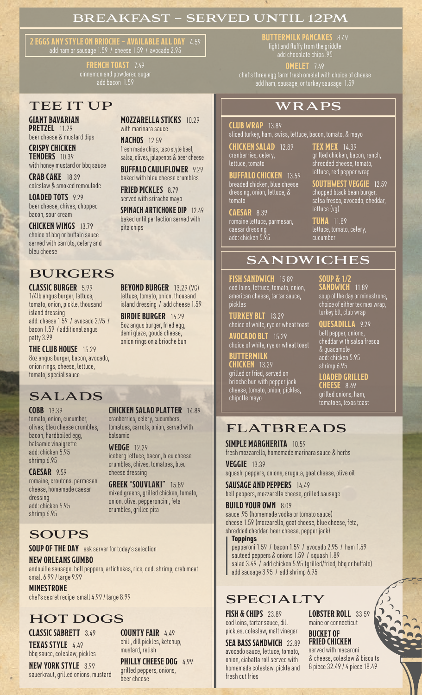## BREAKFAST – SERVED UNTIL 12PM

**2 EGGS ANY STYLE ON BRIOCHE – AVAILABLE ALL DAY** 4.59 add ham or sausage 1.59 / cheese 1.59 / avocado 2.95

> **FRENCH TOAST** 7.49 cinnamon and powdered sugar add bacon 1.59

## TEE IT UP WRAPS

#### **GIANT BAVARIAN PRETZEL** 11.29

beer cheese & mustard dips

#### **CRISPY CHICKEN TENDERS** 10.39

with honey mustard or bbq sauce

**CRAB CAKE** 18.39 coleslaw & smoked remoulade

**LOADED TOTS** 9.29 beer cheese, chives, chopped bacon, sour cream

**CHICKEN WINGS** 13.79 choice of bbq or buffalo sauce served with carrots, celery and bleu cheese

## BURGERS

#### **CLASSIC BURGER** 5.99

1/4lb angus burger, lettuce, tomato, onion, pickle, thousand island dressing add: cheese 1.59 / avocado 2.95 / bacon 1.59 / additional angus patty 3.99

**THE CLUB HOUSE** 15.29 8oz angus burger, bacon, avocado, onion rings, cheese, lettuce, tomato, special sauce

### SALADS

#### **COBB** 13.39

tomato, onion, cucumber, olives, bleu cheese crumbles, bacon, hardboiled egg, balsamic vinaigrette add: chicken 5.95 shrimp 6.95

#### **CAESAR** 9.59

romaine, croutons, parmesan cheese, homemade caesar dressing add: chicken 5.95 shrimp 6.95

## **SOUPS**

**SOUP OF THE DAY** ask server for today's selection **NEW ORLEANS GUMBO** 

andouille sausage, bell peppers, artichokes, rice, cod, shrimp, crab meat small 6.99 / large 9.99

**MINESTRONE**  chef's secret recipe small 4.99 / large 8.99

## HOT DOGS

#### **CLASSIC SABRETT** 3.49

**TEXAS STYLE** 4.49 bbq sauce, coleslaw, pickles

**NEW YORK STYLE** 3.99 sauerkraut, grilled onions, mustard **MOZZARELLA STICKS** 10.29 with marinara sauce

**NACHOS** 12.59 fresh made chips, taco style beef, salsa, olives, jalapenos & beer cheese

**BUFFALO CAULIFLOWER** 9.29 baked with bleu cheese crumbles

**FRIED PICKLES** 8.79 served with sriracha mayo

**SPINACH ARTICHOKE DIP** 12.49 baked until perfection served with pita chips

**BEYOND BURGER** 13.29 (VG) lettuce, tomato, onion, thousand island dressing / add cheese 1.59

**BIRDIE BURGER** 14.29 8oz angus burger, fried egg, demi glaze, gouda cheese, onion rings on a brioche bun

## **CHICKEN SALAD PLATTER** 14.89

cranberries, celery, cucumbers, tomatoes, carrots, onion, served with balsamic

#### **WEDGE** 12.29

iceberg lettuce, bacon, bleu cheese crumbles, chives, tomatoes, bleu cheese dressing

**GREEK "SOUVLAKI"** 15.89 mixed greens, grilled chicken, tomato, onion, olive, pepperoncini, feta crumbles, grilled pita

> **COUNTY FAIR** 4.49 chili, dill pickles, ketchup,

**PHILLY CHEESE DOG** 4.99 grilled peppers, onions,

mustard, relish

beer cheese

**BUTTERMILK PANCAKES** 8.49 light and fluffy from the griddle add chocolate chips .95

**OMELET** 7.49 chef's three egg farm fresh omelet with choice of cheese add ham, sausage, or turkey sausage 1.59

**CLUB WRAP** 13.89 sliced turkey, ham, swiss, lettuce, bacon, tomato, & mayo

**CHICKEN SALAD** 12.89 cranberries, celery, lettuce, tomato

**BUFFALO CHICKEN** 13.59 breaded chicken, blue cheese dressing, onion, lettuce, & tomato

**CAESAR** 8.39 romaine lettuce, parmesan, caesar dressing add: chicken 5.95

**TEX MEX** 14.39 grilled chicken, bacon, ranch, shredded cheese, tomato, lettuce, red pepper wrap

**SOUTHWEST VEGGIE** 12.59 chopped black bean burger, salsa fresca, avocado, cheddar, lettuce (vg)

**TUNA** 11.89 lettuce, tomato, celery, cucumber

# SANDWICHES

**FISH SANDWICH** 15.89 cod loins, lettuce, tomato, onion, american cheese, tartar sauce, pickles

**TURKEY BLT** 13.29 choice of white, rye or wheat toast

**AVOCADO BLT** 15.29

choice of white, rye or wheat toast **BUTTERMILK CHICKEN** 13.29

grilled or fried, served on brioche bun with pepper jack cheese, tomato, onion, pickles, chipotle mayo

## **SOUP & 1/2**

**SANDWICH** 11.89 soup of the day or minestrone, choice of either tex mex wrap, turkey blt, club wrap

#### **QUESADILLA** 9.29

bell pepper, onions, cheddar with salsa fresca & guacamole add: chicken 5.95 shrimp 6.95

#### **LOADED GRILLED CHEESE** 8.49

grilled onions, ham, tomatoes, texas toast

## FLATBREADS

**SIMPLE MARGHERITA** 10.59 fresh mozzarella, homemade marinara sauce & herbs

**VEGGIE** 13.39 squash, peppers, onions, arugula, goat cheese, olive oil

**SAUSAGE AND PEPPERS** 14.49 bell peppers, mozzarella cheese, grilled sausage

**BUILD YOUR OWN** 8.09

sauce .95 (homemade vodka or tomato sauce) cheese 1.59 (mozzarella, goat cheese, blue cheese, feta, shredded cheddar, beer cheese, pepper jack)

**Toppings** 

pepperoni 1.59 / bacon 1.59 / avocado 2.95 / ham 1.59 sauteed peppers & onions 1.59 / squash 1.89 salad 3.49  $\overline{\phantom{a}}$  add chicken 5.95 (grilled/fried, bbq or buffalo) add sausage 3.95 / add shrimp 6.95

## SPECIALTY

**FISH & CHIPS** 23.89 cod loins, tartar sauce, dill pickles, coleslaw, malt vinegar

**SEA BASS SANDWICH** 22.89 avocado sauce, lettuce, tomato, onion, ciabatta roll served with homemade coleslaw, pickle and fresh cut fries

**LOBSTER ROLL** 33.59 maine or connecticut

**BUCKET OF FRIED CHICKEN** served with macaroni & cheese, coleslaw & biscuits 8 piece 32.49 / 4 piece 18.49